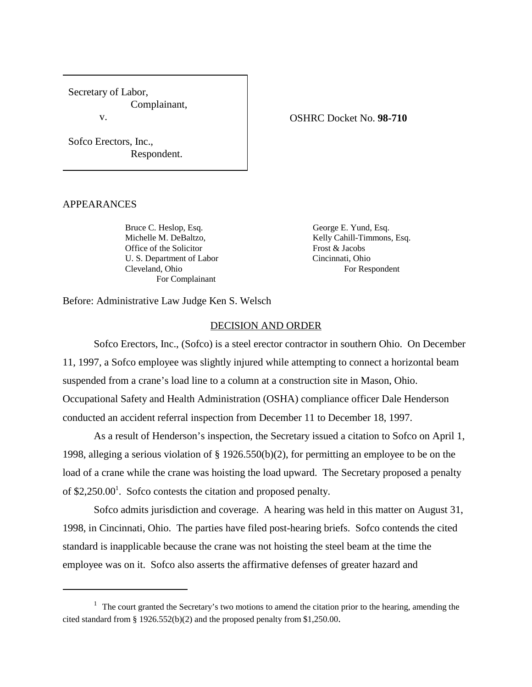Secretary of Labor, Complainant, v.

OSHRC Docket No. **98-710**

Sofco Erectors, Inc., Respondent.

#### APPEARANCES

Bruce C. Heslop, Esq. George E. Yund, Esq. Office of the Solicitor Frost & Jacobs U. S. Department of Labor Cincinnati, Ohio Cleveland, Ohio For Respondent For Complainant

Michelle M. DeBaltzo, Kelly Cahill-Timmons, Esq.

Before: Administrative Law Judge Ken S. Welsch

### DECISION AND ORDER

Sofco Erectors, Inc., (Sofco) is a steel erector contractor in southern Ohio. On December 11, 1997, a Sofco employee was slightly injured while attempting to connect a horizontal beam suspended from a crane's load line to a column at a construction site in Mason, Ohio. Occupational Safety and Health Administration (OSHA) compliance officer Dale Henderson conducted an accident referral inspection from December 11 to December 18, 1997.

As a result of Henderson's inspection, the Secretary issued a citation to Sofco on April 1, 1998, alleging a serious violation of § 1926.550(b)(2), for permitting an employee to be on the load of a crane while the crane was hoisting the load upward. The Secretary proposed a penalty of  $$2,250.00<sup>1</sup>$ . Sofco contests the citation and proposed penalty.

Sofco admits jurisdiction and coverage. A hearing was held in this matter on August 31, 1998, in Cincinnati, Ohio. The parties have filed post-hearing briefs. Sofco contends the cited standard is inapplicable because the crane was not hoisting the steel beam at the time the employee was on it. Sofco also asserts the affirmative defenses of greater hazard and

 $1$  The court granted the Secretary's two motions to amend the citation prior to the hearing, amending the cited standard from § 1926.552(b)(2) and the proposed penalty from \$1,250.00.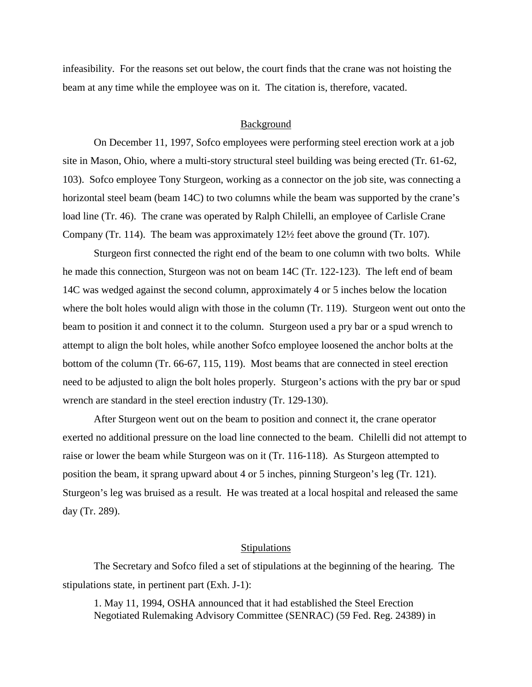infeasibility. For the reasons set out below, the court finds that the crane was not hoisting the beam at any time while the employee was on it. The citation is, therefore, vacated.

### **Background**

On December 11, 1997, Sofco employees were performing steel erection work at a job site in Mason, Ohio, where a multi-story structural steel building was being erected (Tr. 61-62, 103). Sofco employee Tony Sturgeon, working as a connector on the job site, was connecting a horizontal steel beam (beam 14C) to two columns while the beam was supported by the crane's load line (Tr. 46). The crane was operated by Ralph Chilelli, an employee of Carlisle Crane Company (Tr. 114). The beam was approximately 12½ feet above the ground (Tr. 107).

Sturgeon first connected the right end of the beam to one column with two bolts. While he made this connection, Sturgeon was not on beam 14C (Tr. 122-123). The left end of beam 14C was wedged against the second column, approximately 4 or 5 inches below the location where the bolt holes would align with those in the column (Tr. 119). Sturgeon went out onto the beam to position it and connect it to the column. Sturgeon used a pry bar or a spud wrench to attempt to align the bolt holes, while another Sofco employee loosened the anchor bolts at the bottom of the column (Tr. 66-67, 115, 119). Most beams that are connected in steel erection need to be adjusted to align the bolt holes properly. Sturgeon's actions with the pry bar or spud wrench are standard in the steel erection industry (Tr. 129-130).

After Sturgeon went out on the beam to position and connect it, the crane operator exerted no additional pressure on the load line connected to the beam. Chilelli did not attempt to raise or lower the beam while Sturgeon was on it (Tr. 116-118). As Sturgeon attempted to position the beam, it sprang upward about 4 or 5 inches, pinning Sturgeon's leg (Tr. 121). Sturgeon's leg was bruised as a result. He was treated at a local hospital and released the same day (Tr. 289).

#### **Stipulations**

The Secretary and Sofco filed a set of stipulations at the beginning of the hearing. The stipulations state, in pertinent part (Exh. J-1):

1. May 11, 1994, OSHA announced that it had established the Steel Erection Negotiated Rulemaking Advisory Committee (SENRAC) (59 Fed. Reg. 24389) in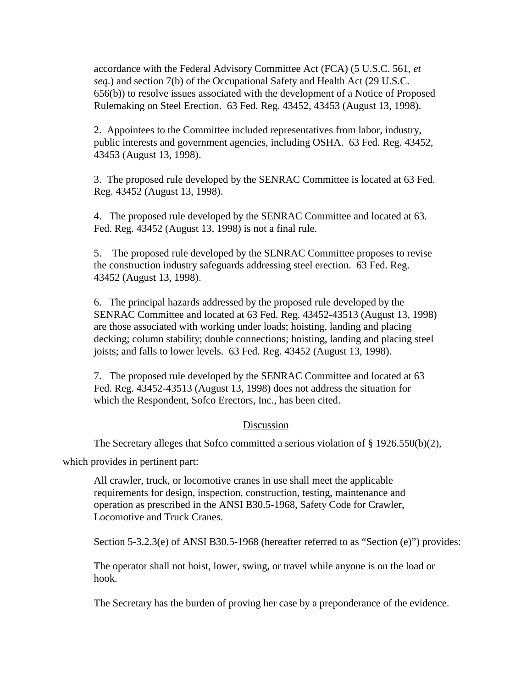accordance with the Federal Advisory Committee Act (FCA) (5 U.S.C. 561, *et seq*.) and section 7(b) of the Occupational Safety and Health Act (29 U.S.C. 656(b)) to resolve issues associated with the development of a Notice of Proposed Rulemaking on Steel Erection. 63 Fed. Reg. 43452, 43453 (August 13, 1998).

2. Appointees to the Committee included representatives from labor, industry, public interests and government agencies, including OSHA. 63 Fed. Reg. 43452, 43453 (August 13, 1998).

3. The proposed rule developed by the SENRAC Committee is located at 63 Fed. Reg. 43452 (August 13, 1998).

4. The proposed rule developed by the SENRAC Committee and located at 63. Fed. Reg. 43452 (August 13, 1998) is not a final rule.

5. The proposed rule developed by the SENRAC Committee proposes to revise the construction industry safeguards addressing steel erection. 63 Fed. Reg. 43452 (August 13, 1998).

6. The principal hazards addressed by the proposed rule developed by the SENRAC Committee and located at 63 Fed. Reg. 43452-43513 (August 13, 1998) are those associated with working under loads; hoisting, landing and placing decking; column stability; double connections; hoisting, landing and placing steel joists; and falls to lower levels. 63 Fed. Reg. 43452 (August 13, 1998).

7. The proposed rule developed by the SENRAC Committee and located at 63 Fed. Reg. 43452-43513 (August 13, 1998) does not address the situation for which the Respondent, Sofco Erectors, Inc., has been cited.

# Discussion

The Secretary alleges that Sofco committed a serious violation of § 1926.550(b)(2),

which provides in pertinent part:

All crawler, truck, or locomotive cranes in use shall meet the applicable requirements for design, inspection, construction, testing, maintenance and operation as prescribed in the ANSI B30.5-1968, Safety Code for Crawler, Locomotive and Truck Cranes.

Section 5-3.2.3(e) of ANSI B30.5-1968 (hereafter referred to as "Section (e)") provides:

The operator shall not hoist, lower, swing, or travel while anyone is on the load or hook.

The Secretary has the burden of proving her case by a preponderance of the evidence.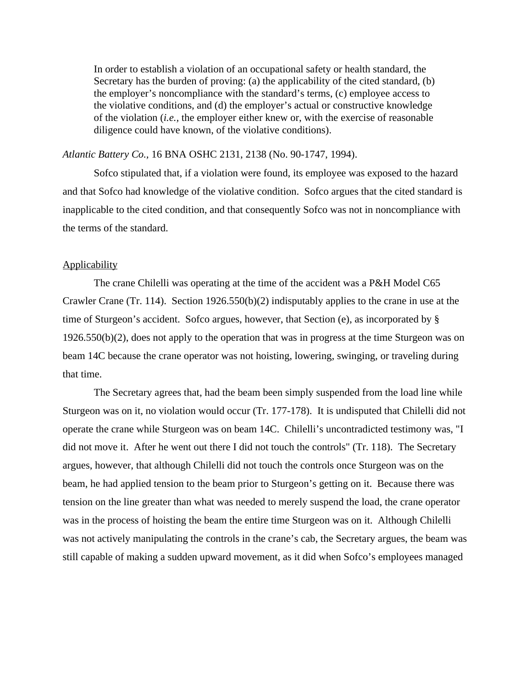In order to establish a violation of an occupational safety or health standard, the Secretary has the burden of proving: (a) the applicability of the cited standard, (b) the employer's noncompliance with the standard's terms, (c) employee access to the violative conditions, and (d) the employer's actual or constructive knowledge of the violation (*i.e.,* the employer either knew or, with the exercise of reasonable diligence could have known, of the violative conditions).

### *Atlantic Battery Co.,* 16 BNA OSHC 2131, 2138 (No. 90-1747, 1994).

Sofco stipulated that, if a violation were found, its employee was exposed to the hazard and that Sofco had knowledge of the violative condition. Sofco argues that the cited standard is inapplicable to the cited condition, and that consequently Sofco was not in noncompliance with the terms of the standard.

## **Applicability**

The crane Chilelli was operating at the time of the accident was a P&H Model C65 Crawler Crane (Tr. 114). Section 1926.550(b)(2) indisputably applies to the crane in use at the time of Sturgeon's accident. Sofco argues, however, that Section (e), as incorporated by § 1926.550(b)(2), does not apply to the operation that was in progress at the time Sturgeon was on beam 14C because the crane operator was not hoisting, lowering, swinging, or traveling during that time.

The Secretary agrees that, had the beam been simply suspended from the load line while Sturgeon was on it, no violation would occur (Tr. 177-178). It is undisputed that Chilelli did not operate the crane while Sturgeon was on beam 14C. Chilelli's uncontradicted testimony was, "I did not move it. After he went out there I did not touch the controls" (Tr. 118). The Secretary argues, however, that although Chilelli did not touch the controls once Sturgeon was on the beam, he had applied tension to the beam prior to Sturgeon's getting on it. Because there was tension on the line greater than what was needed to merely suspend the load, the crane operator was in the process of hoisting the beam the entire time Sturgeon was on it. Although Chilelli was not actively manipulating the controls in the crane's cab, the Secretary argues, the beam was still capable of making a sudden upward movement, as it did when Sofco's employees managed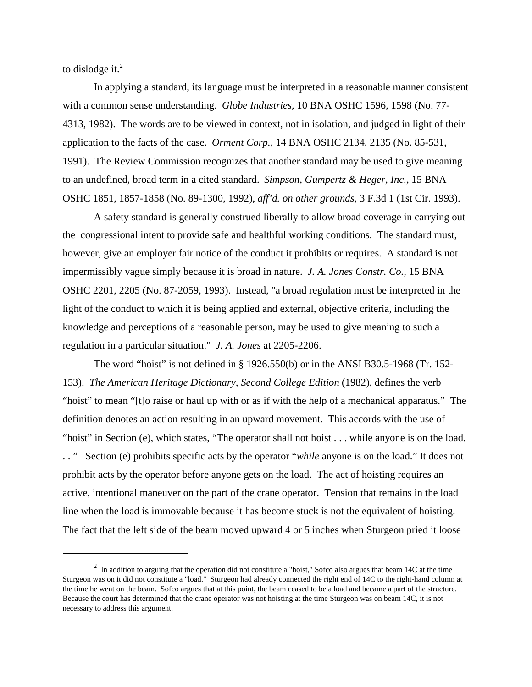to dislodge it.<sup>2</sup>

In applying a standard, its language must be interpreted in a reasonable manner consistent with a common sense understanding. *Globe Industries,* 10 BNA OSHC 1596, 1598 (No. 77- 4313, 1982). The words are to be viewed in context, not in isolation, and judged in light of their application to the facts of the case. *Orment Corp.,* 14 BNA OSHC 2134, 2135 (No. 85-531, 1991). The Review Commission recognizes that another standard may be used to give meaning to an undefined, broad term in a cited standard. *Simpson, Gumpertz & Heger, Inc.,* 15 BNA OSHC 1851, 1857-1858 (No. 89-1300, 1992), *aff'd. on other grounds*, 3 F.3d 1 (1st Cir. 1993).

A safety standard is generally construed liberally to allow broad coverage in carrying out the congressional intent to provide safe and healthful working conditions. The standard must, however, give an employer fair notice of the conduct it prohibits or requires. A standard is not impermissibly vague simply because it is broad in nature. *J. A. Jones Constr. Co.,* 15 BNA OSHC 2201, 2205 (No. 87-2059, 1993). Instead, "a broad regulation must be interpreted in the light of the conduct to which it is being applied and external, objective criteria, including the knowledge and perceptions of a reasonable person, may be used to give meaning to such a regulation in a particular situation." *J. A. Jones* at 2205-2206.

The word "hoist" is not defined in § 1926.550(b) or in the ANSI B30.5-1968 (Tr. 152- 153). *The American Heritage Dictionary, Second College Edition* (1982), defines the verb "hoist" to mean "[t]o raise or haul up with or as if with the help of a mechanical apparatus." The definition denotes an action resulting in an upward movement. This accords with the use of "hoist" in Section (e), which states, "The operator shall not hoist . . . while anyone is on the load. . . " Section (e) prohibits specific acts by the operator "*while* anyone is on the load." It does not prohibit acts by the operator before anyone gets on the load. The act of hoisting requires an active, intentional maneuver on the part of the crane operator. Tension that remains in the load line when the load is immovable because it has become stuck is not the equivalent of hoisting. The fact that the left side of the beam moved upward 4 or 5 inches when Sturgeon pried it loose

 $2$  In addition to arguing that the operation did not constitute a "hoist," Sofco also argues that beam 14C at the time Sturgeon was on it did not constitute a "load." Sturgeon had already connected the right end of 14C to the right-hand column at the time he went on the beam. Sofco argues that at this point, the beam ceased to be a load and became a part of the structure. Because the court has determined that the crane operator was not hoisting at the time Sturgeon was on beam 14C, it is not necessary to address this argument.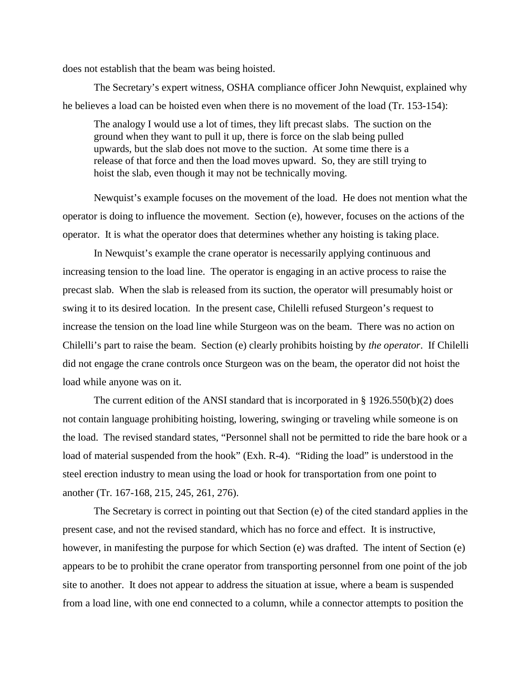does not establish that the beam was being hoisted.

The Secretary's expert witness, OSHA compliance officer John Newquist, explained why he believes a load can be hoisted even when there is no movement of the load (Tr. 153-154):

The analogy I would use a lot of times, they lift precast slabs. The suction on the ground when they want to pull it up, there is force on the slab being pulled upwards, but the slab does not move to the suction. At some time there is a release of that force and then the load moves upward. So, they are still trying to hoist the slab, even though it may not be technically moving.

Newquist's example focuses on the movement of the load. He does not mention what the operator is doing to influence the movement. Section (e), however, focuses on the actions of the operator. It is what the operator does that determines whether any hoisting is taking place.

In Newquist's example the crane operator is necessarily applying continuous and increasing tension to the load line. The operator is engaging in an active process to raise the precast slab. When the slab is released from its suction, the operator will presumably hoist or swing it to its desired location. In the present case, Chilelli refused Sturgeon's request to increase the tension on the load line while Sturgeon was on the beam. There was no action on Chilelli's part to raise the beam. Section (e) clearly prohibits hoisting by *the operator*. If Chilelli did not engage the crane controls once Sturgeon was on the beam, the operator did not hoist the load while anyone was on it.

The current edition of the ANSI standard that is incorporated in § 1926.550(b)(2) does not contain language prohibiting hoisting, lowering, swinging or traveling while someone is on the load. The revised standard states, "Personnel shall not be permitted to ride the bare hook or a load of material suspended from the hook" (Exh. R-4). "Riding the load" is understood in the steel erection industry to mean using the load or hook for transportation from one point to another (Tr. 167-168, 215, 245, 261, 276).

The Secretary is correct in pointing out that Section (e) of the cited standard applies in the present case, and not the revised standard, which has no force and effect. It is instructive, however, in manifesting the purpose for which Section (e) was drafted. The intent of Section (e) appears to be to prohibit the crane operator from transporting personnel from one point of the job site to another. It does not appear to address the situation at issue, where a beam is suspended from a load line, with one end connected to a column, while a connector attempts to position the